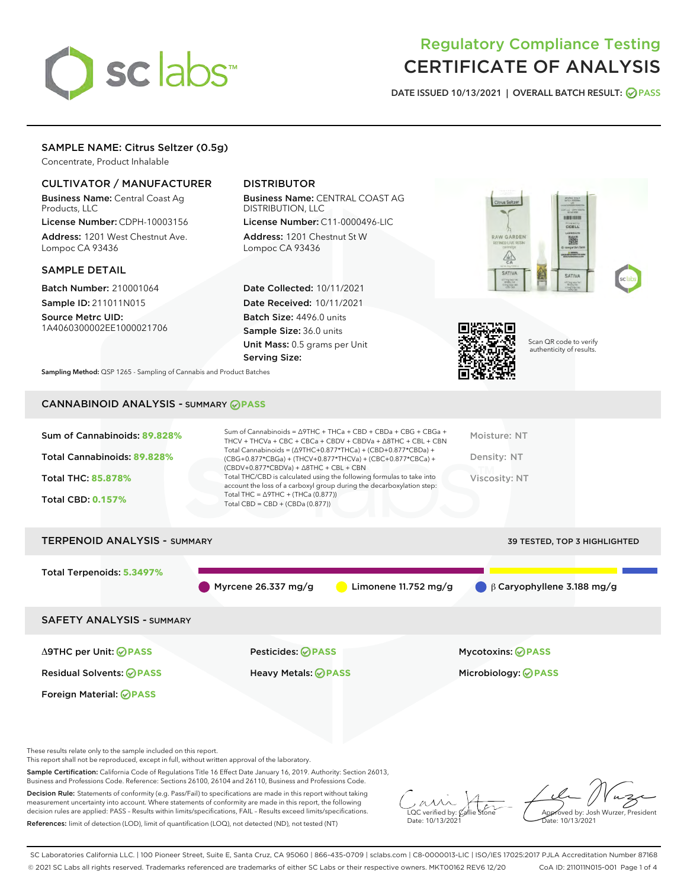

# Regulatory Compliance Testing CERTIFICATE OF ANALYSIS

DATE ISSUED 10/13/2021 | OVERALL BATCH RESULT: @ PASS

# SAMPLE NAME: Citrus Seltzer (0.5g)

Concentrate, Product Inhalable

# CULTIVATOR / MANUFACTURER

Business Name: Central Coast Ag Products, LLC

License Number: CDPH-10003156 Address: 1201 West Chestnut Ave. Lompoc CA 93436

# SAMPLE DETAIL

Batch Number: 210001064 Sample ID: 211011N015

Source Metrc UID: 1A4060300002EE1000021706

# DISTRIBUTOR

Business Name: CENTRAL COAST AG DISTRIBUTION, LLC

License Number: C11-0000496-LIC Address: 1201 Chestnut St W Lompoc CA 93436

Date Collected: 10/11/2021 Date Received: 10/11/2021 Batch Size: 4496.0 units Sample Size: 36.0 units Unit Mass: 0.5 grams per Unit Serving Size:





Scan QR code to verify authenticity of results.

Sampling Method: QSP 1265 - Sampling of Cannabis and Product Batches

# CANNABINOID ANALYSIS - SUMMARY **PASS**

| Sum of Cannabinoids: 89.828% | Sum of Cannabinoids = $\triangle$ 9THC + THCa + CBD + CBDa + CBG + CBGa +<br>THCV + THCVa + CBC + CBCa + CBDV + CBDVa + $\Delta$ 8THC + CBL + CBN                                        | Moisture: NT  |
|------------------------------|------------------------------------------------------------------------------------------------------------------------------------------------------------------------------------------|---------------|
| Total Cannabinoids: 89.828%  | Total Cannabinoids = $(\Delta 9THC + 0.877*THCa) + (CBD + 0.877*CBDa) +$<br>(CBG+0.877*CBGa) + (THCV+0.877*THCVa) + (CBC+0.877*CBCa) +<br>$(CBDV+0.877*CBDVa) + \Delta 8THC + CBL + CBN$ | Density: NT   |
| <b>Total THC: 85.878%</b>    | Total THC/CBD is calculated using the following formulas to take into<br>account the loss of a carboxyl group during the decarboxylation step:                                           | Viscosity: NT |
| <b>Total CBD: 0.157%</b>     | Total THC = $\triangle$ 9THC + (THCa (0.877))<br>Total CBD = $CBD + (CBDa (0.877))$                                                                                                      |               |
|                              |                                                                                                                                                                                          |               |

# TERPENOID ANALYSIS - SUMMARY 39 TESTED, TOP 3 HIGHLIGHTED Total Terpenoids: **5.3497%** Myrcene 26.337 mg/g Limonene 11.752 mg/g β Caryophyllene 3.188 mg/g SAFETY ANALYSIS - SUMMARY Δ9THC per Unit: **PASS** Pesticides: **PASS** Mycotoxins: **PASS**

Foreign Material: **PASS**

Residual Solvents: **PASS** Heavy Metals: **PASS** Microbiology: **PASS**

These results relate only to the sample included on this report.

This report shall not be reproduced, except in full, without written approval of the laboratory.

Sample Certification: California Code of Regulations Title 16 Effect Date January 16, 2019. Authority: Section 26013, Business and Professions Code. Reference: Sections 26100, 26104 and 26110, Business and Professions Code.

Decision Rule: Statements of conformity (e.g. Pass/Fail) to specifications are made in this report without taking measurement uncertainty into account. Where statements of conformity are made in this report, the following decision rules are applied: PASS – Results within limits/specifications, FAIL – Results exceed limits/specifications. References: limit of detection (LOD), limit of quantification (LOQ), not detected (ND), not tested (NT)

 $\overline{\text{LOC}}$  verified by:  $\mathcal C$ Date: 10/13/2021

Approved by: Josh Wurzer, President ate: 10/13/2021

SC Laboratories California LLC. | 100 Pioneer Street, Suite E, Santa Cruz, CA 95060 | 866-435-0709 | sclabs.com | C8-0000013-LIC | ISO/IES 17025:2017 PJLA Accreditation Number 87168 © 2021 SC Labs all rights reserved. Trademarks referenced are trademarks of either SC Labs or their respective owners. MKT00162 REV6 12/20 CoA ID: 211011N015-001 Page 1 of 4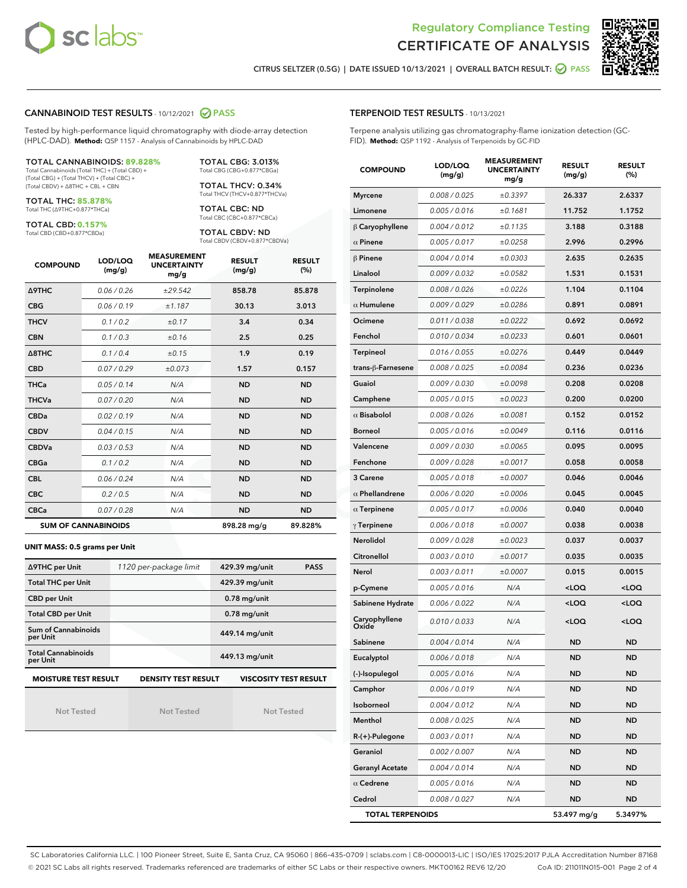



CITRUS SELTZER (0.5G) | DATE ISSUED 10/13/2021 | OVERALL BATCH RESULT: 2 PASS

## CANNABINOID TEST RESULTS - 10/12/2021 2 PASS

Tested by high-performance liquid chromatography with diode-array detection (HPLC-DAD). **Method:** QSP 1157 - Analysis of Cannabinoids by HPLC-DAD

#### TOTAL CANNABINOIDS: **89.828%**

Total Cannabinoids (Total THC) + (Total CBD) + (Total CBG) + (Total THCV) + (Total CBC) + (Total CBDV) + ∆8THC + CBL + CBN

TOTAL THC: **85.878%** Total THC (∆9THC+0.877\*THCa)

TOTAL CBD: **0.157%**

Total CBD (CBD+0.877\*CBDa)

TOTAL CBG: 3.013% Total CBG (CBG+0.877\*CBGa)

TOTAL THCV: 0.34% Total THCV (THCV+0.877\*THCVa)

TOTAL CBC: ND Total CBC (CBC+0.877\*CBCa)

TOTAL CBDV: ND Total CBDV (CBDV+0.877\*CBDVa)

| <b>COMPOUND</b>            | LOD/LOQ<br>(mg/g) | <b>MEASUREMENT</b><br><b>UNCERTAINTY</b><br>mg/g | <b>RESULT</b><br>(mg/g) | <b>RESULT</b><br>(%) |
|----------------------------|-------------------|--------------------------------------------------|-------------------------|----------------------|
| Δ9THC                      | 0.06 / 0.26       | ±29.542                                          | 858.78                  | 85.878               |
| <b>CBG</b>                 | 0.06/0.19         | ±1.187                                           | 30.13                   | 3.013                |
| <b>THCV</b>                | 0.1/0.2           | ±0.17                                            | 3.4                     | 0.34                 |
| <b>CBN</b>                 | 0.1/0.3           | ±0.16                                            | 2.5                     | 0.25                 |
| $\triangle$ 8THC           | 0.1/0.4           | ±0.15                                            | 1.9                     | 0.19                 |
| <b>CBD</b>                 | 0.07/0.29         | ±0.073                                           | 1.57                    | 0.157                |
| <b>THCa</b>                | 0.05 / 0.14       | N/A                                              | <b>ND</b>               | <b>ND</b>            |
| <b>THCVa</b>               | 0.07/0.20         | N/A                                              | <b>ND</b>               | <b>ND</b>            |
| <b>CBDa</b>                | 0.02/0.19         | N/A                                              | <b>ND</b>               | <b>ND</b>            |
| <b>CBDV</b>                | 0.04 / 0.15       | N/A                                              | <b>ND</b>               | <b>ND</b>            |
| <b>CBDVa</b>               | 0.03/0.53         | N/A                                              | <b>ND</b>               | <b>ND</b>            |
| <b>CBGa</b>                | 0.1 / 0.2         | N/A                                              | <b>ND</b>               | <b>ND</b>            |
| <b>CBL</b>                 | 0.06 / 0.24       | N/A                                              | <b>ND</b>               | <b>ND</b>            |
| <b>CBC</b>                 | 0.2 / 0.5         | N/A                                              | <b>ND</b>               | <b>ND</b>            |
| <b>CBCa</b>                | 0.07 / 0.28       | N/A                                              | <b>ND</b>               | <b>ND</b>            |
| <b>SUM OF CANNABINOIDS</b> |                   |                                                  | 898.28 mg/g             | 89.828%              |

**UNIT MASS: 0.5 grams per Unit**

| ∆9THC per Unit                        | 1120 per-package limit     | 429.39 mg/unit<br><b>PASS</b> |
|---------------------------------------|----------------------------|-------------------------------|
| <b>Total THC per Unit</b>             |                            | 429.39 mg/unit                |
| <b>CBD per Unit</b>                   |                            | $0.78$ mg/unit                |
| <b>Total CBD per Unit</b>             |                            | $0.78$ mg/unit                |
| Sum of Cannabinoids<br>per Unit       |                            | 449.14 mg/unit                |
| <b>Total Cannabinoids</b><br>per Unit |                            | 449.13 mg/unit                |
| <b>MOISTURE TEST RESULT</b>           | <b>DENSITY TEST RESULT</b> | <b>VISCOSITY TEST RESULT</b>  |

Not Tested

Not Tested

Not Tested

#### TERPENOID TEST RESULTS - 10/13/2021

Terpene analysis utilizing gas chromatography-flame ionization detection (GC-FID). **Method:** QSP 1192 - Analysis of Terpenoids by GC-FID

| <b>COMPOUND</b>         | LOD/LOQ<br>(mg/g) | <b>MEASUREMENT</b><br><b>UNCERTAINTY</b><br>mg/g | <b>RESULT</b><br>(mg/g)                         | <b>RESULT</b><br>(%) |
|-------------------------|-------------------|--------------------------------------------------|-------------------------------------------------|----------------------|
| <b>Myrcene</b>          | 0.008 / 0.025     | ±0.3397                                          | 26.337                                          | 2.6337               |
| Limonene                | 0.005 / 0.016     | ±0.1681                                          | 11.752                                          | 1.1752               |
| $\beta$ Caryophyllene   | 0.004 / 0.012     | ±0.1135                                          | 3.188                                           | 0.3188               |
| $\alpha$ Pinene         | 0.005 / 0.017     | ±0.0258                                          | 2.996                                           | 0.2996               |
| $\beta$ Pinene          | 0.004 / 0.014     | ±0.0303                                          | 2.635                                           | 0.2635               |
| Linalool                | 0.009/0.032       | ±0.0582                                          | 1.531                                           | 0.1531               |
| Terpinolene             | 0.008 / 0.026     | ±0.0226                                          | 1.104                                           | 0.1104               |
| $\alpha$ Humulene       | 0.009 / 0.029     | ±0.0286                                          | 0.891                                           | 0.0891               |
| Ocimene                 | 0.011 / 0.038     | ±0.0222                                          | 0.692                                           | 0.0692               |
| Fenchol                 | 0.010 / 0.034     | ±0.0233                                          | 0.601                                           | 0.0601               |
| <b>Terpineol</b>        | 0.016 / 0.055     | ±0.0276                                          | 0.449                                           | 0.0449               |
| trans-ß-Farnesene       | 0.008 / 0.025     | ±0.0084                                          | 0.236                                           | 0.0236               |
| Guaiol                  | 0.009 / 0.030     | ±0.0098                                          | 0.208                                           | 0.0208               |
| Camphene                | 0.005 / 0.015     | ±0.0023                                          | 0.200                                           | 0.0200               |
| $\alpha$ Bisabolol      | 0.008 / 0.026     | ±0.0081                                          | 0.152                                           | 0.0152               |
| <b>Borneol</b>          | 0.005 / 0.016     | ±0.0049                                          | 0.116                                           | 0.0116               |
| Valencene               | 0.009 / 0.030     | ±0.0065                                          | 0.095                                           | 0.0095               |
| Fenchone                | 0.009 / 0.028     | ±0.0017                                          | 0.058                                           | 0.0058               |
| 3 Carene                | 0.005 / 0.018     | ±0.0007                                          | 0.046                                           | 0.0046               |
| $\alpha$ Phellandrene   | 0.006 / 0.020     | ±0.0006                                          | 0.045                                           | 0.0045               |
| $\alpha$ Terpinene      | 0.005 / 0.017     | ±0.0006                                          | 0.040                                           | 0.0040               |
| $\gamma$ Terpinene      | 0.006 / 0.018     | ±0.0007                                          | 0.038                                           | 0.0038               |
| Nerolidol               | 0.009 / 0.028     | ±0.0023                                          | 0.037                                           | 0.0037               |
| Citronellol             | 0.003 / 0.010     | ±0.0017                                          | 0.035                                           | 0.0035               |
| Nerol                   | 0.003 / 0.011     | ±0.0007                                          | 0.015                                           | 0.0015               |
| p-Cymene                | 0.005 / 0.016     | N/A                                              | $<$ LOQ                                         | $<$ LOQ              |
| Sabinene Hydrate        | 0.006 / 0.022     | N/A                                              | <loq< th=""><th><loq< th=""></loq<></th></loq<> | <loq< th=""></loq<>  |
| Caryophyllene<br>Oxide  | 0.010 / 0.033     | N/A                                              | <loq< th=""><th><loq< th=""></loq<></th></loq<> | <loq< th=""></loq<>  |
| Sabinene                | 0.004 / 0.014     | N/A                                              | <b>ND</b>                                       | ND                   |
| Eucalyptol              | 0.006 / 0.018     | N/A                                              | <b>ND</b>                                       | ND                   |
| (-)-Isopulegol          | 0.005 / 0.016     | N/A                                              | ND                                              | ND                   |
| Camphor                 | 0.006 / 0.019     | N/A                                              | ND                                              | ND                   |
| Isoborneol              | 0.004 / 0.012     | N/A                                              | <b>ND</b>                                       | ND                   |
| Menthol                 | 0.008 / 0.025     | N/A                                              | ND                                              | ND                   |
| $R-(+)$ -Pulegone       | 0.003 / 0.011     | N/A                                              | ND                                              | ND                   |
| Geraniol                | 0.002 / 0.007     | N/A                                              | ND                                              | ND                   |
| <b>Geranyl Acetate</b>  | 0.004 / 0.014     | N/A                                              | ND                                              | ND                   |
| $\alpha$ Cedrene        | 0.005 / 0.016     | N/A                                              | ND                                              | ND                   |
| Cedrol                  | 0.008 / 0.027     | N/A                                              | <b>ND</b>                                       | ND                   |
| <b>TOTAL TERPENOIDS</b> |                   |                                                  | 53.497 mg/g                                     | 5.3497%              |

SC Laboratories California LLC. | 100 Pioneer Street, Suite E, Santa Cruz, CA 95060 | 866-435-0709 | sclabs.com | C8-0000013-LIC | ISO/IES 17025:2017 PJLA Accreditation Number 87168 © 2021 SC Labs all rights reserved. Trademarks referenced are trademarks of either SC Labs or their respective owners. MKT00162 REV6 12/20 CoA ID: 211011N015-001 Page 2 of 4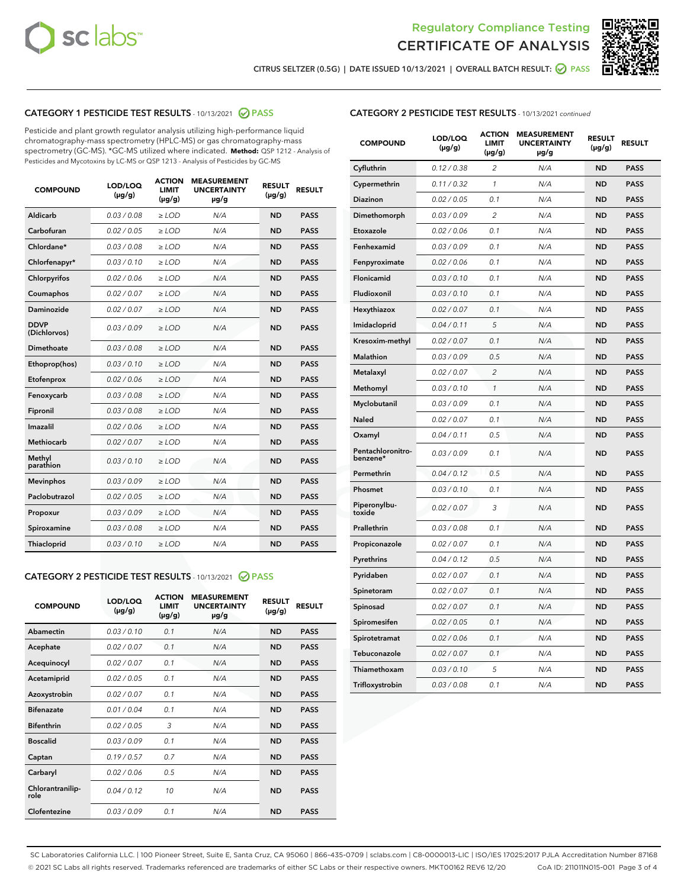



CITRUS SELTZER (0.5G) | DATE ISSUED 10/13/2021 | OVERALL BATCH RESULT:  $\bigcirc$  PASS

# CATEGORY 1 PESTICIDE TEST RESULTS - 10/13/2021 2 PASS

Pesticide and plant growth regulator analysis utilizing high-performance liquid chromatography-mass spectrometry (HPLC-MS) or gas chromatography-mass spectrometry (GC-MS). \*GC-MS utilized where indicated. **Method:** QSP 1212 - Analysis of Pesticides and Mycotoxins by LC-MS or QSP 1213 - Analysis of Pesticides by GC-MS

| Aldicarb<br>0.03 / 0.08<br>$\ge$ LOD<br><b>ND</b><br><b>PASS</b><br>N/A<br>Carbofuran<br>0.02 / 0.05<br>$\ge$ LOD<br>N/A<br><b>ND</b><br><b>PASS</b><br>Chlordane*<br>0.03 / 0.08<br>N/A<br><b>ND</b><br><b>PASS</b><br>$\ge$ LOD<br>Chlorfenapyr*<br>0.03/0.10<br>N/A<br><b>ND</b><br><b>PASS</b><br>$\ge$ LOD<br>N/A<br><b>ND</b><br><b>PASS</b><br>Chlorpyrifos<br>0.02 / 0.06<br>$\ge$ LOD<br>Coumaphos<br>0.02 / 0.07<br>$\ge$ LOD<br>N/A<br><b>ND</b><br><b>PASS</b><br>Daminozide<br>0.02 / 0.07<br>N/A<br><b>ND</b><br>$\ge$ LOD<br><b>PASS</b><br><b>DDVP</b><br>0.03/0.09<br>$\ge$ LOD<br>N/A<br><b>ND</b><br><b>PASS</b><br>(Dichlorvos)<br><b>Dimethoate</b><br><b>ND</b><br><b>PASS</b><br>0.03 / 0.08<br>$\ge$ LOD<br>N/A<br>0.03/0.10<br><b>ND</b><br><b>PASS</b><br>Ethoprop(hos)<br>$\ge$ LOD<br>N/A<br>0.02 / 0.06<br>Etofenprox<br>$>$ LOD<br>N/A<br><b>ND</b><br><b>PASS</b><br>0.03 / 0.08<br>N/A<br><b>ND</b><br>Fenoxycarb<br>$\ge$ LOD<br><b>PASS</b><br>0.03 / 0.08<br>$>$ LOD<br>N/A<br><b>ND</b><br><b>PASS</b><br>Fipronil<br>0.02 / 0.06<br>Imazalil<br>$\ge$ LOD<br>N/A<br><b>ND</b><br><b>PASS</b><br>Methiocarb<br>0.02 / 0.07<br>$\ge$ LOD<br>N/A<br><b>ND</b><br><b>PASS</b><br>Methyl<br>0.03/0.10<br>N/A<br><b>ND</b><br>$\ge$ LOD<br><b>PASS</b><br>parathion<br>0.03/0.09<br>N/A<br><b>ND</b><br><b>Mevinphos</b><br>$\ge$ LOD<br><b>PASS</b><br>Paclobutrazol<br>0.02 / 0.05<br>$\ge$ LOD<br>N/A<br><b>ND</b><br><b>PASS</b><br>0.03/0.09<br>$\ge$ LOD<br>N/A<br><b>ND</b><br><b>PASS</b><br>Propoxur<br>0.03 / 0.08<br><b>ND</b><br>Spiroxamine<br>$\ge$ LOD<br>N/A<br><b>PASS</b><br>0.03/0.10<br>$\ge$ LOD<br>N/A<br><b>ND</b><br><b>PASS</b><br><b>Thiacloprid</b> | <b>COMPOUND</b> | LOD/LOQ<br>$(\mu g/g)$ | <b>ACTION</b><br><b>LIMIT</b><br>$(\mu g/g)$ | <b>MEASUREMENT</b><br><b>UNCERTAINTY</b><br>µg/g | <b>RESULT</b><br>$(\mu g/g)$ | <b>RESULT</b> |
|---------------------------------------------------------------------------------------------------------------------------------------------------------------------------------------------------------------------------------------------------------------------------------------------------------------------------------------------------------------------------------------------------------------------------------------------------------------------------------------------------------------------------------------------------------------------------------------------------------------------------------------------------------------------------------------------------------------------------------------------------------------------------------------------------------------------------------------------------------------------------------------------------------------------------------------------------------------------------------------------------------------------------------------------------------------------------------------------------------------------------------------------------------------------------------------------------------------------------------------------------------------------------------------------------------------------------------------------------------------------------------------------------------------------------------------------------------------------------------------------------------------------------------------------------------------------------------------------------------------------------------------------------------------------------------------------------------------|-----------------|------------------------|----------------------------------------------|--------------------------------------------------|------------------------------|---------------|
|                                                                                                                                                                                                                                                                                                                                                                                                                                                                                                                                                                                                                                                                                                                                                                                                                                                                                                                                                                                                                                                                                                                                                                                                                                                                                                                                                                                                                                                                                                                                                                                                                                                                                                               |                 |                        |                                              |                                                  |                              |               |
|                                                                                                                                                                                                                                                                                                                                                                                                                                                                                                                                                                                                                                                                                                                                                                                                                                                                                                                                                                                                                                                                                                                                                                                                                                                                                                                                                                                                                                                                                                                                                                                                                                                                                                               |                 |                        |                                              |                                                  |                              |               |
|                                                                                                                                                                                                                                                                                                                                                                                                                                                                                                                                                                                                                                                                                                                                                                                                                                                                                                                                                                                                                                                                                                                                                                                                                                                                                                                                                                                                                                                                                                                                                                                                                                                                                                               |                 |                        |                                              |                                                  |                              |               |
|                                                                                                                                                                                                                                                                                                                                                                                                                                                                                                                                                                                                                                                                                                                                                                                                                                                                                                                                                                                                                                                                                                                                                                                                                                                                                                                                                                                                                                                                                                                                                                                                                                                                                                               |                 |                        |                                              |                                                  |                              |               |
|                                                                                                                                                                                                                                                                                                                                                                                                                                                                                                                                                                                                                                                                                                                                                                                                                                                                                                                                                                                                                                                                                                                                                                                                                                                                                                                                                                                                                                                                                                                                                                                                                                                                                                               |                 |                        |                                              |                                                  |                              |               |
|                                                                                                                                                                                                                                                                                                                                                                                                                                                                                                                                                                                                                                                                                                                                                                                                                                                                                                                                                                                                                                                                                                                                                                                                                                                                                                                                                                                                                                                                                                                                                                                                                                                                                                               |                 |                        |                                              |                                                  |                              |               |
|                                                                                                                                                                                                                                                                                                                                                                                                                                                                                                                                                                                                                                                                                                                                                                                                                                                                                                                                                                                                                                                                                                                                                                                                                                                                                                                                                                                                                                                                                                                                                                                                                                                                                                               |                 |                        |                                              |                                                  |                              |               |
|                                                                                                                                                                                                                                                                                                                                                                                                                                                                                                                                                                                                                                                                                                                                                                                                                                                                                                                                                                                                                                                                                                                                                                                                                                                                                                                                                                                                                                                                                                                                                                                                                                                                                                               |                 |                        |                                              |                                                  |                              |               |
|                                                                                                                                                                                                                                                                                                                                                                                                                                                                                                                                                                                                                                                                                                                                                                                                                                                                                                                                                                                                                                                                                                                                                                                                                                                                                                                                                                                                                                                                                                                                                                                                                                                                                                               |                 |                        |                                              |                                                  |                              |               |
|                                                                                                                                                                                                                                                                                                                                                                                                                                                                                                                                                                                                                                                                                                                                                                                                                                                                                                                                                                                                                                                                                                                                                                                                                                                                                                                                                                                                                                                                                                                                                                                                                                                                                                               |                 |                        |                                              |                                                  |                              |               |
|                                                                                                                                                                                                                                                                                                                                                                                                                                                                                                                                                                                                                                                                                                                                                                                                                                                                                                                                                                                                                                                                                                                                                                                                                                                                                                                                                                                                                                                                                                                                                                                                                                                                                                               |                 |                        |                                              |                                                  |                              |               |
|                                                                                                                                                                                                                                                                                                                                                                                                                                                                                                                                                                                                                                                                                                                                                                                                                                                                                                                                                                                                                                                                                                                                                                                                                                                                                                                                                                                                                                                                                                                                                                                                                                                                                                               |                 |                        |                                              |                                                  |                              |               |
|                                                                                                                                                                                                                                                                                                                                                                                                                                                                                                                                                                                                                                                                                                                                                                                                                                                                                                                                                                                                                                                                                                                                                                                                                                                                                                                                                                                                                                                                                                                                                                                                                                                                                                               |                 |                        |                                              |                                                  |                              |               |
|                                                                                                                                                                                                                                                                                                                                                                                                                                                                                                                                                                                                                                                                                                                                                                                                                                                                                                                                                                                                                                                                                                                                                                                                                                                                                                                                                                                                                                                                                                                                                                                                                                                                                                               |                 |                        |                                              |                                                  |                              |               |
|                                                                                                                                                                                                                                                                                                                                                                                                                                                                                                                                                                                                                                                                                                                                                                                                                                                                                                                                                                                                                                                                                                                                                                                                                                                                                                                                                                                                                                                                                                                                                                                                                                                                                                               |                 |                        |                                              |                                                  |                              |               |
|                                                                                                                                                                                                                                                                                                                                                                                                                                                                                                                                                                                                                                                                                                                                                                                                                                                                                                                                                                                                                                                                                                                                                                                                                                                                                                                                                                                                                                                                                                                                                                                                                                                                                                               |                 |                        |                                              |                                                  |                              |               |
|                                                                                                                                                                                                                                                                                                                                                                                                                                                                                                                                                                                                                                                                                                                                                                                                                                                                                                                                                                                                                                                                                                                                                                                                                                                                                                                                                                                                                                                                                                                                                                                                                                                                                                               |                 |                        |                                              |                                                  |                              |               |
|                                                                                                                                                                                                                                                                                                                                                                                                                                                                                                                                                                                                                                                                                                                                                                                                                                                                                                                                                                                                                                                                                                                                                                                                                                                                                                                                                                                                                                                                                                                                                                                                                                                                                                               |                 |                        |                                              |                                                  |                              |               |
|                                                                                                                                                                                                                                                                                                                                                                                                                                                                                                                                                                                                                                                                                                                                                                                                                                                                                                                                                                                                                                                                                                                                                                                                                                                                                                                                                                                                                                                                                                                                                                                                                                                                                                               |                 |                        |                                              |                                                  |                              |               |
|                                                                                                                                                                                                                                                                                                                                                                                                                                                                                                                                                                                                                                                                                                                                                                                                                                                                                                                                                                                                                                                                                                                                                                                                                                                                                                                                                                                                                                                                                                                                                                                                                                                                                                               |                 |                        |                                              |                                                  |                              |               |
|                                                                                                                                                                                                                                                                                                                                                                                                                                                                                                                                                                                                                                                                                                                                                                                                                                                                                                                                                                                                                                                                                                                                                                                                                                                                                                                                                                                                                                                                                                                                                                                                                                                                                                               |                 |                        |                                              |                                                  |                              |               |

### CATEGORY 2 PESTICIDE TEST RESULTS - 10/13/2021 @ PASS

| <b>COMPOUND</b>          | LOD/LOO<br>$(\mu g/g)$ | <b>ACTION</b><br>LIMIT<br>$(\mu g/g)$ | <b>MEASUREMENT</b><br><b>UNCERTAINTY</b><br>$\mu$ g/g | <b>RESULT</b><br>$(\mu g/g)$ | <b>RESULT</b> |
|--------------------------|------------------------|---------------------------------------|-------------------------------------------------------|------------------------------|---------------|
| Abamectin                | 0.03/0.10              | 0.1                                   | N/A                                                   | <b>ND</b>                    | <b>PASS</b>   |
| Acephate                 | 0.02/0.07              | 0.1                                   | N/A                                                   | <b>ND</b>                    | <b>PASS</b>   |
| Acequinocyl              | 0.02/0.07              | 0.1                                   | N/A                                                   | <b>ND</b>                    | <b>PASS</b>   |
| Acetamiprid              | 0.02/0.05              | 0.1                                   | N/A                                                   | <b>ND</b>                    | <b>PASS</b>   |
| Azoxystrobin             | 0.02/0.07              | 0.1                                   | N/A                                                   | <b>ND</b>                    | <b>PASS</b>   |
| <b>Bifenazate</b>        | 0.01/0.04              | 0.1                                   | N/A                                                   | <b>ND</b>                    | <b>PASS</b>   |
| <b>Bifenthrin</b>        | 0.02 / 0.05            | 3                                     | N/A                                                   | <b>ND</b>                    | <b>PASS</b>   |
| <b>Boscalid</b>          | 0.03/0.09              | 0.1                                   | N/A                                                   | <b>ND</b>                    | <b>PASS</b>   |
| Captan                   | 0.19/0.57              | 0.7                                   | N/A                                                   | <b>ND</b>                    | <b>PASS</b>   |
| Carbaryl                 | 0.02/0.06              | 0.5                                   | N/A                                                   | <b>ND</b>                    | <b>PASS</b>   |
| Chlorantranilip-<br>role | 0.04/0.12              | 10                                    | N/A                                                   | <b>ND</b>                    | <b>PASS</b>   |
| Clofentezine             | 0.03/0.09              | 0.1                                   | N/A                                                   | <b>ND</b>                    | <b>PASS</b>   |

# CATEGORY 2 PESTICIDE TEST RESULTS - 10/13/2021 continued

| <b>COMPOUND</b>               | LOD/LOQ<br>(µg/g) | <b>ACTION</b><br><b>LIMIT</b><br>(µg/g) | <b>MEASUREMENT</b><br><b>UNCERTAINTY</b><br>µg/g | <b>RESULT</b><br>(µg/g) | <b>RESULT</b> |
|-------------------------------|-------------------|-----------------------------------------|--------------------------------------------------|-------------------------|---------------|
| Cyfluthrin                    | 0.12 / 0.38       | $\overline{c}$                          | N/A                                              | <b>ND</b>               | <b>PASS</b>   |
| Cypermethrin                  | 0.11 / 0.32       | 1                                       | N/A                                              | <b>ND</b>               | <b>PASS</b>   |
| Diazinon                      | 0.02 / 0.05       | 0.1                                     | N/A                                              | <b>ND</b>               | <b>PASS</b>   |
| Dimethomorph                  | 0.03 / 0.09       | 2                                       | N/A                                              | ND                      | <b>PASS</b>   |
| Etoxazole                     | 0.02 / 0.06       | 0.1                                     | N/A                                              | <b>ND</b>               | <b>PASS</b>   |
| Fenhexamid                    | 0.03 / 0.09       | 0.1                                     | N/A                                              | ND                      | <b>PASS</b>   |
| Fenpyroximate                 | 0.02 / 0.06       | 0.1                                     | N/A                                              | <b>ND</b>               | <b>PASS</b>   |
| Flonicamid                    | 0.03 / 0.10       | 0.1                                     | N/A                                              | ND                      | <b>PASS</b>   |
| Fludioxonil                   | 0.03 / 0.10       | 0.1                                     | N/A                                              | <b>ND</b>               | <b>PASS</b>   |
| Hexythiazox                   | 0.02 / 0.07       | 0.1                                     | N/A                                              | ND                      | <b>PASS</b>   |
| Imidacloprid                  | 0.04 / 0.11       | 5                                       | N/A                                              | ND                      | <b>PASS</b>   |
| Kresoxim-methyl               | 0.02 / 0.07       | 0.1                                     | N/A                                              | <b>ND</b>               | <b>PASS</b>   |
| <b>Malathion</b>              | 0.03 / 0.09       | 0.5                                     | N/A                                              | ND                      | <b>PASS</b>   |
| Metalaxyl                     | 0.02 / 0.07       | $\overline{c}$                          | N/A                                              | ND                      | <b>PASS</b>   |
| Methomyl                      | 0.03 / 0.10       | 1                                       | N/A                                              | <b>ND</b>               | <b>PASS</b>   |
| Myclobutanil                  | 0.03 / 0.09       | 0.1                                     | N/A                                              | ND                      | <b>PASS</b>   |
| Naled                         | 0.02 / 0.07       | 0.1                                     | N/A                                              | ND                      | <b>PASS</b>   |
| Oxamyl                        | 0.04 / 0.11       | 0.5                                     | N/A                                              | ND                      | <b>PASS</b>   |
| Pentachloronitro-<br>benzene* | 0.03 / 0.09       | 0.1                                     | N/A                                              | ND                      | <b>PASS</b>   |
| Permethrin                    | 0.04 / 0.12       | 0.5                                     | N/A                                              | <b>ND</b>               | <b>PASS</b>   |
| Phosmet                       | 0.03/0.10         | 0.1                                     | N/A                                              | ND                      | <b>PASS</b>   |
| Piperonylbu-<br>toxide        | 0.02 / 0.07       | 3                                       | N/A                                              | ND                      | <b>PASS</b>   |
| Prallethrin                   | 0.03 / 0.08       | 0.1                                     | N/A                                              | <b>ND</b>               | <b>PASS</b>   |
| Propiconazole                 | 0.02 / 0.07       | 0.1                                     | N/A                                              | ND                      | <b>PASS</b>   |
| Pyrethrins                    | 0.04 / 0.12       | 0.5                                     | N/A                                              | ND                      | <b>PASS</b>   |
| Pyridaben                     | 0.02 / 0.07       | 0.1                                     | N/A                                              | ND                      | <b>PASS</b>   |
| Spinetoram                    | 0.02 / 0.07       | 0.1                                     | N/A                                              | ND                      | <b>PASS</b>   |
| Spinosad                      | 0.02 / 0.07       | 0.1                                     | N/A                                              | ND                      | <b>PASS</b>   |
| Spiromesifen                  | 0.02 / 0.05       | 0.1                                     | N/A                                              | ND                      | <b>PASS</b>   |
| Spirotetramat                 | 0.02 / 0.06       | 0.1                                     | N/A                                              | ND                      | <b>PASS</b>   |
| Tebuconazole                  | 0.02 / 0.07       | 0.1                                     | N/A                                              | ND                      | <b>PASS</b>   |
| Thiamethoxam                  | 0.03 / 0.10       | 5                                       | N/A                                              | ND                      | <b>PASS</b>   |
| Trifloxystrobin               | 0.03 / 0.08       | 0.1                                     | N/A                                              | <b>ND</b>               | <b>PASS</b>   |

SC Laboratories California LLC. | 100 Pioneer Street, Suite E, Santa Cruz, CA 95060 | 866-435-0709 | sclabs.com | C8-0000013-LIC | ISO/IES 17025:2017 PJLA Accreditation Number 87168 © 2021 SC Labs all rights reserved. Trademarks referenced are trademarks of either SC Labs or their respective owners. MKT00162 REV6 12/20 CoA ID: 211011N015-001 Page 3 of 4